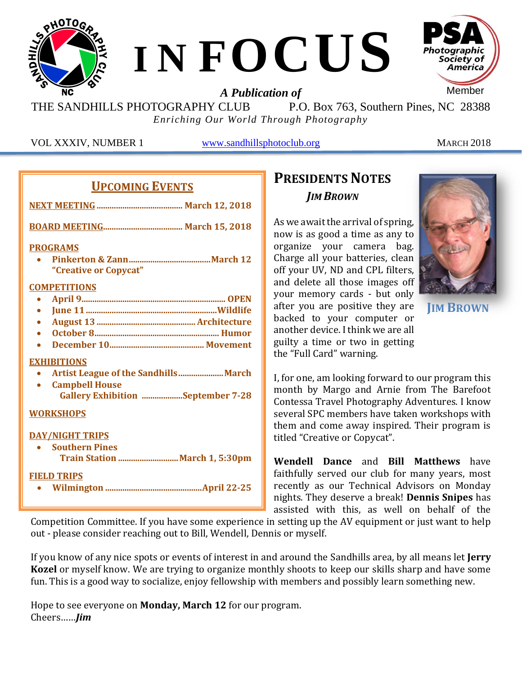

THE SANDHILLS PHOTOGRAPHY CLUB P.O. Box 763, Southern Pines, NC 28388 *Enriching Our World Through Photography*

VOL XXXIV, NUMBER 1 [www.sandhillsphotoclub.org](http://www.sandhillsphotoclub.org/) MARCH 2018

#### **UPCOMING EVENTS**

| <b>PROGRAMS</b>                          |
|------------------------------------------|
| "Creative or Copycat"                    |
| <b>COMPETITIONS</b>                      |
| $\bullet$                                |
| $\bullet$                                |
| $\bullet$                                |
| $\bullet$                                |
|                                          |
| <b>EXHIBITIONS</b>                       |
|                                          |
| <b>Campbell House</b>                    |
| <b>Gallery Exhibition September 7-28</b> |
| <b>WORKSHOPS</b>                         |
| <b>DAY/NIGHT TRIPS</b>                   |
| • Southern Pines                         |
| Train Station March 1, 5:30pm            |
| <b>FIELD TRIPS</b>                       |
|                                          |

## **PRESIDENTS NOTES** *JIM BROWN*

As we await the arrival of spring, now is as good a time as any to organize your camera bag. Charge all your batteries, clean off your UV, ND and CPL filters, and delete all those images off your memory cards - but only after you are positive they are backed to your computer or another device. I think we are all guilty a time or two in getting the "Full Card" warning.



**JIM BROWN**

I, for one, am looking forward to our program this month by Margo and Arnie from The Barefoot Contessa Travel Photography Adventures. I know several SPC members have taken workshops with them and come away inspired. Their program is titled "Creative or Copycat".

**Wendell Dance** and **Bill Matthews** have faithfully served our club for many years, most recently as our Technical Advisors on Monday nights. They deserve a break! **Dennis Snipes** has assisted with this, as well on behalf of the

Competition Committee. If you have some experience in setting up the AV equipment or just want to help out - please consider reaching out to Bill, Wendell, Dennis or myself.

If you know of any nice spots or events of interest in and around the Sandhills area, by all means let **Jerry Kozel** or myself know. We are trying to organize monthly shoots to keep our skills sharp and have some fun. This is a good way to socialize, enjoy fellowship with members and possibly learn something new.

Hope to see everyone on **Monday, March 12** for our program. Cheers……*Jim*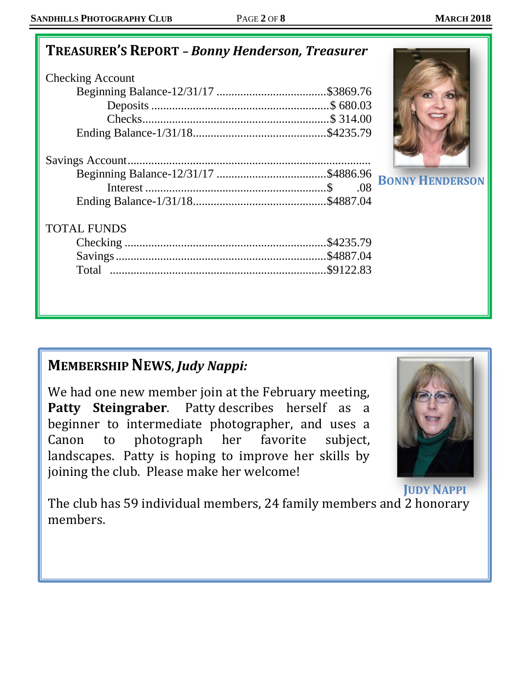# **TREASURER'S REPORT** *– Bonny Henderson, Treasurer*

| <b>Checking Account</b> |  |
|-------------------------|--|
|                         |  |
|                         |  |
|                         |  |
|                         |  |
|                         |  |

#### TOTAL FUNDS

# **BONNY HENDERSON**

# **MEMBERSHIP NEWS,** *Judy Nappi:*

We had one new member join at the February meeting, **Patty Steingraber**. Patty describes herself as a beginner to intermediate photographer, and uses a Canon to photograph her favorite subject, landscapes. Patty is hoping to improve her skills by joining the club. Please make her welcome!



**JUDY NAPPI**

The club has 59 individual members, 24 family members and 2 honorary members.

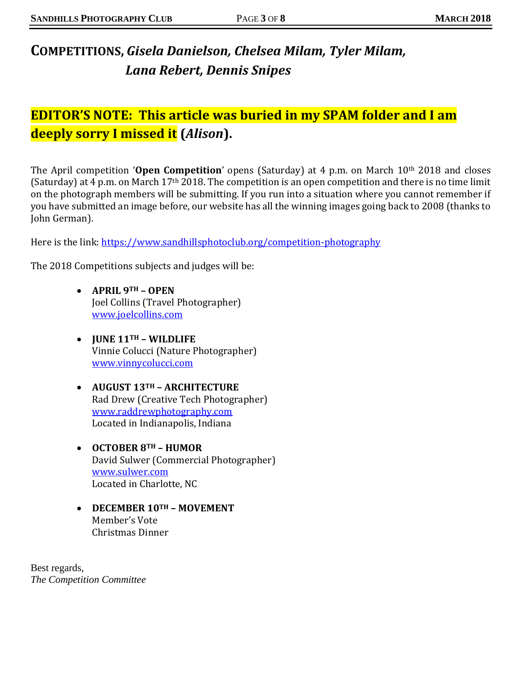# **COMPETITIONS,** *Gisela Danielson, Chelsea Milam, Tyler Milam, Lana Rebert, Dennis Snipes*

## **EDITOR'S NOTE: This article was buried in my SPAM folder and I am deeply sorry I missed it (***Alison***).**

The April competition '**Open Competition**' opens (Saturday) at 4 p.m. on March 10th 2018 and closes (Saturday) at 4 p.m. on March 17th 2018. The competition is an open competition and there is no time limit on the photograph members will be submitting. If you run into a situation where you cannot remember if you have submitted an image before, our website has all the winning images going back to 2008 (thanks to John German).

Here is the link:<https://www.sandhillsphotoclub.org/competition-photography>

The 2018 Competitions subjects and judges will be:

- **APRIL 9TH – OPEN** Joel Collins (Travel Photographer) [www.joelcollins.com](http://www.joelcollins.com/)
- **JUNE 11TH – WILDLIFE** Vinnie Colucci (Nature Photographer) [www.vinnycolucci.com](http://www.vinnycolucci.com/)
- **AUGUST 13TH – ARCHITECTURE** Rad Drew (Creative Tech Photographer) [www.raddrewphotography.com](http://www.raddrewphotography.com/) Located in Indianapolis, Indiana
- **OCTOBER 8TH – HUMOR** David Sulwer (Commercial Photographer) [www.sulwer.com](http://www.sulwer.com/) Located in Charlotte, NC
- **DECEMBER 10TH – MOVEMENT** Member's Vote Christmas Dinner

Best regards, *The Competition Committee*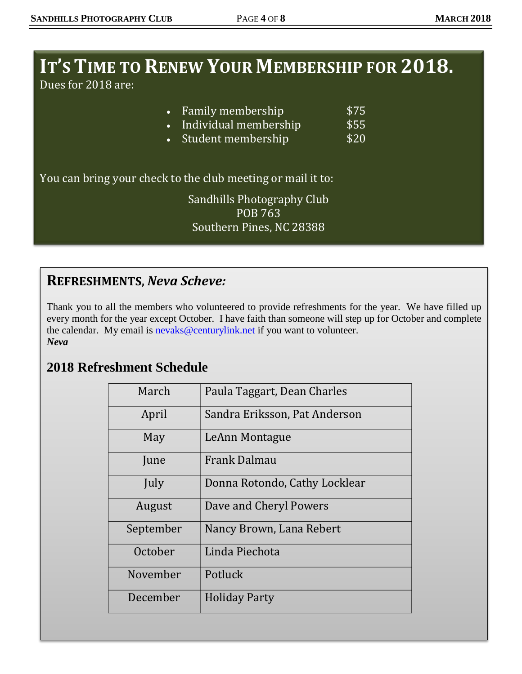# **IT'S TIME TO RENEW YOUR MEMBERSHIP FOR 2018.**

Dues for 2018 are:

| \$20<br>• Student membership                                |  |
|-------------------------------------------------------------|--|
| You can bring your check to the club meeting or mail it to: |  |
| Sandhills Photography Club                                  |  |
| <b>POB 763</b><br>Southern Pines, NC 28388                  |  |

#### **REFRESHMENTS,** *Neva Scheve:*

Thank you to all the members who volunteered to provide refreshments for the year. We have filled up every month for the year except October. I have faith than someone will step up for October and complete the calendar. My email is [nevaks@centurylink.net](mailto:nevaks@centurylink.net) if you want to volunteer. *Neva*

## **2018 Refreshment Schedule**

| March     | Paula Taggart, Dean Charles   |
|-----------|-------------------------------|
| April     | Sandra Eriksson, Pat Anderson |
| May       | LeAnn Montague                |
| June      | <b>Frank Dalmau</b>           |
| July      | Donna Rotondo, Cathy Locklear |
| August    | Dave and Cheryl Powers        |
| September | Nancy Brown, Lana Rebert      |
| October   | Linda Piechota                |
| November  | Potluck                       |
| December  | <b>Holiday Party</b>          |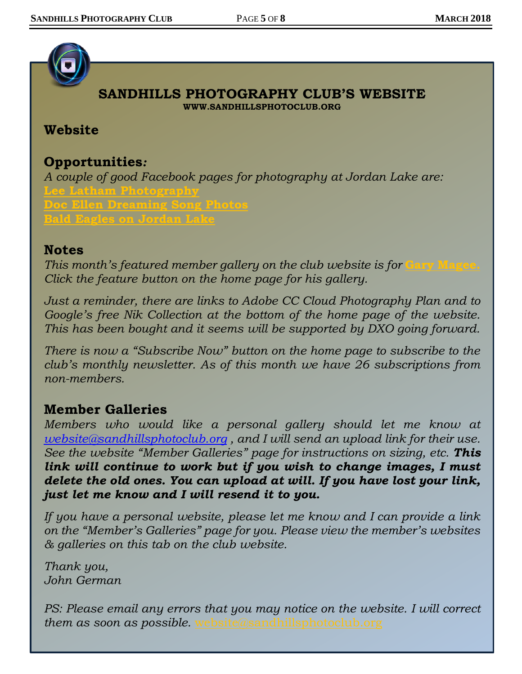

#### **SANDHILLS PHOTOGRAPHY CLUB'S WEBSITE WWW.SANDHILLSPHOTOCLUB.ORG**

#### **Website**

#### **Opportunities***:*

*A couple of good Facebook pages for photography at Jordan Lake are:* **[Lee Latham Photography](https://www.facebook.com/lee.latham.photography/) [Doc Ellen Dreaming Song Photos](https://www.facebook.com/docellen/) [Bald Eagles on Jordan Lake](http://www.newsobserver.com/news/local/counties/wake-county/article10867616.html)**

#### **Notes**

*This month's featured member gallery on the club website is for [Gary Magee.](https://sandhillsphotoclub.smugmug.com/Member-Galleries/Gary-Magee/Photography-by-Gary-Magee) Click the feature button on the home page for his gallery.* 

*Just a reminder, there are links to Adobe CC Cloud Photography Plan and to Google's free Nik Collection at the bottom of the home page of the website. This has been bought and it seems will be supported by DXO going forward.* 

*There is now a "Subscribe Now" button on the home page to subscribe to the club's monthly newsletter. As of this month we have 26 subscriptions from non-members.*

#### **Member Galleries**

*Members who would like a personal gallery should let me know at [website@sandhillsphotoclub.org](mailto:website@sandhillsphotoclub.org) , and I will send an upload link for their use. See the website "Member Galleries" page for instructions on sizing, etc. This link will continue to work but if you wish to change images, I must delete the old ones. You can upload at will. If you have lost your link, just let me know and I will resend it to you.*

*If you have a personal website, please let me know and I can provide a link on the "Member's Galleries" page for you. Please view the member's websites & galleries on this tab on the club website.* 

*Thank you, John German*

*PS: Please email any errors that you may notice on the website. I will correct them as soon as possible.* [website@sandhillsphotoclub.org](mailto:website@sandhillsphotoclub.org)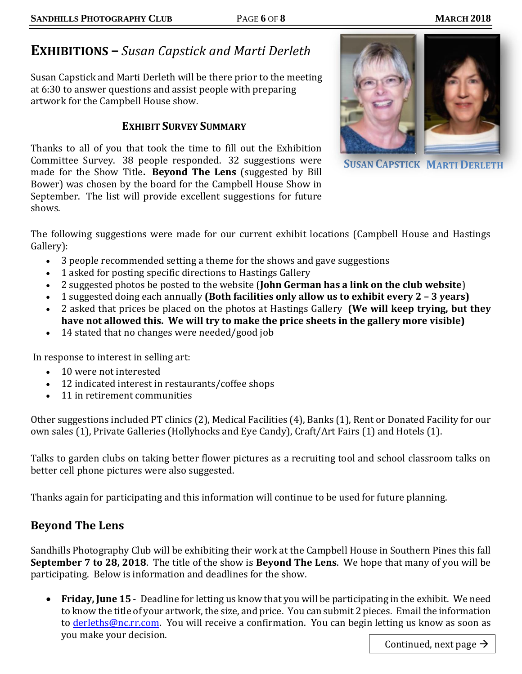# **EXHIBITIONS –** *Susan Capstick and Marti Derleth*

Susan Capstick and Marti Derleth will be there prior to the meeting at 6:30 to answer questions and assist people with preparing artwork for the Campbell House show.

#### **EXHIBIT SURVEY SUMMARY**

Thanks to all of you that took the time to fill out the Exhibition Committee Survey. 38 people responded. 32 suggestions were made for the Show Title**. Beyond The Lens** (suggested by Bill Bower) was chosen by the board for the Campbell House Show in September. The list will provide excellent suggestions for future shows.



**SUSAN CAPSTICK MARTI DERLETH**

The following suggestions were made for our current exhibit locations (Campbell House and Hastings Gallery):

- 3 people recommended setting a theme for the shows and gave suggestions
- 1 asked for posting specific directions to Hastings Gallery
- 2 suggested photos be posted to the website (**John German has a link on the club website**)
- 1 suggested doing each annually **(Both facilities only allow us to exhibit every 2 – 3 years)**
- 2 asked that prices be placed on the photos at Hastings Gallery **(We will keep trying, but they have not allowed this. We will try to make the price sheets in the gallery more visible)**
- 14 stated that no changes were needed/good job

In response to interest in selling art:

- 10 were not interested
- 12 indicated interest in restaurants/coffee shops
- 11 in retirement communities

Other suggestions included PT clinics (2), Medical Facilities (4), Banks (1), Rent or Donated Facility for our own sales (1), Private Galleries (Hollyhocks and Eye Candy), Craft/Art Fairs (1) and Hotels (1).

Talks to garden clubs on taking better flower pictures as a recruiting tool and school classroom talks on better cell phone pictures were also suggested.

Thanks again for participating and this information will continue to be used for future planning.

#### **Beyond The Lens**

Sandhills Photography Club will be exhibiting their work at the Campbell House in Southern Pines this fall **September 7 to 28, 2018**. The title of the show is **Beyond The Lens**. We hope that many of you will be participating. Below is information and deadlines for the show.

• **Friday, June 15** - Deadline for letting us know that you will be participating in the exhibit. We need to know the title of your artwork, the size, and price. You can submit 2 pieces. Email the information to [derleths@nc.rr.com.](mailto:derleths@nc.rr.com) You will receive a confirmation. You can begin letting us know as soon as you make your decision.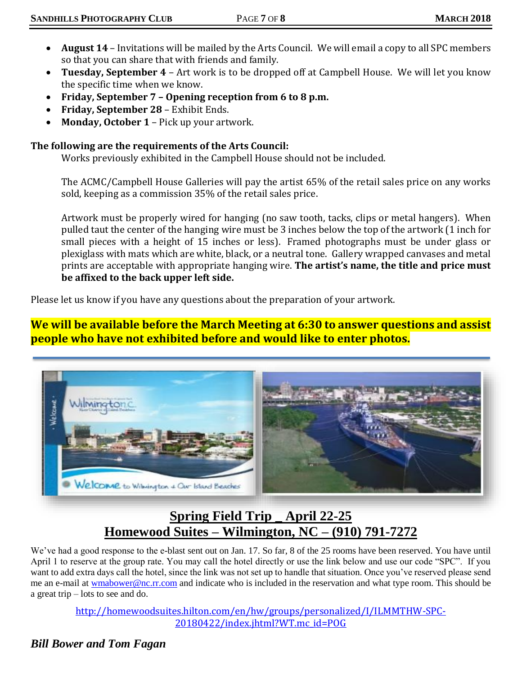- **August 14**  Invitations will be mailed by the Arts Council. We will email a copy to all SPC members so that you can share that with friends and family.
- **Tuesday, September 4** Art work is to be dropped off at Campbell House. We will let you know the specific time when we know.
- **Friday, September 7 – Opening reception from 6 to 8 p.m.**
- **Friday, September 28** Exhibit Ends.
- **Monday, October 1**  Pick up your artwork.

#### **The following are the requirements of the Arts Council:**

Works previously exhibited in the Campbell House should not be included.

The ACMC/Campbell House Galleries will pay the artist 65% of the retail sales price on any works sold, keeping as a commission 35% of the retail sales price.

Artwork must be properly wired for hanging (no saw tooth, tacks, clips or metal hangers). When pulled taut the center of the hanging wire must be 3 inches below the top of the artwork (1 inch for small pieces with a height of 15 inches or less). Framed photographs must be under glass or plexiglass with mats which are white, black, or a neutral tone. Gallery wrapped canvases and metal prints are acceptable with appropriate hanging wire. **The artist's name, the title and price must be affixed to the back upper left side.**

Please let us know if you have any questions about the preparation of your artwork.

**We will be available before the March Meeting at 6:30 to answer questions and assist people who have not exhibited before and would like to enter photos.**



## **Spring Field Trip \_ April 22-25 Homewood Suites – Wilmington, NC – (910) 791-7272**

We've had a good response to the e-blast sent out on Jan. 17. So far, 8 of the 25 rooms have been reserved. You have until April 1 to reserve at the group rate. You may call the hotel directly or use the link below and use our code "SPC". If you want to add extra days call the hotel, since the link was not set up to handle that situation. Once you've reserved please send me an e-mail at [wmabower@nc.rr.com](mailto:wmabower@nc.rr.com) and indicate who is included in the reservation and what type room. This should be a great trip – lots to see and do.

[http://homewoodsuites.hilton.com/en/hw/groups/personalized/I/ILMMTHW-SPC-](http://homewoodsuites.hilton.com/en/hw/groups/personalized/I/ILMMTHW-SPC-20180422/index.jhtml?WT.mc_id=POG)[20180422/index.jhtml?WT.mc\\_id=POG](http://homewoodsuites.hilton.com/en/hw/groups/personalized/I/ILMMTHW-SPC-20180422/index.jhtml?WT.mc_id=POG)

#### *Bill Bower and Tom Fagan*